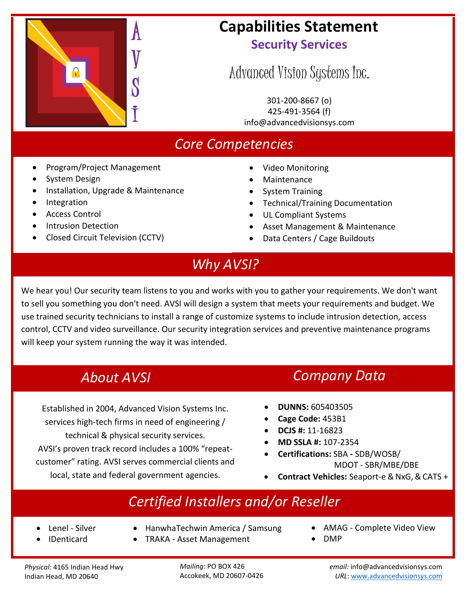

## **Capabilities Statement Security Services**

# Advanced Vision Systems Inc.

301-200-8667 (o) 425-491-3564 (f) info[@advancedvisionsys.com](mailto:meaton@advancedvisionsys.com)

## *Core Competencies*

- Program/Project Management
- System Design
- Installation, Upgrade & Maintenance
- **Integration**
- Access Control
- Intrusion Detection
- Closed Circuit Television (CCTV)
- Video Monitoring
- **Maintenance**
- System Training
- Technical/Training Documentation
- UL Compliant Systems
- Asset Management & Maintenance
- Data Centers / Cage Buildouts

## *Why AVSI?*

We hear you! Our security team listens to you and works with you to gather your requirements. We don't want to sell you something you don't need. AVSI will design a system that meets your requirements and budget. We use trained security technicians to install a range of customize systems to include intrusion detection, access control, CCTV and video surveillance. Our security integration services and preventive maintenance programs will keep your system running the way it was intended.

Established in 2004, Advanced Vision Systems Inc. services high-tech firms in need of engineering / technical & physical security services. AVSI's proven track record includes a 100% "repeatcustomer" rating. AVSI serves commercial clients and local, state and federal government agencies.

## *About AVSI Company Data*

- **DUNNS:** 605403505
- **Cage Code:** 453B1
- **DCJS #:** 11-16823
- **MD SSLA #:** 107-2354
- **Certifications:** SBA SDB/WOSB/ MDOT - SBR/MBE/DBE
- **Contract Vehicles:** Seaport-e & NxG, & CATS +

## *Certified Installers and/or Reseller*

- Lenel Silver
- IDenticard
- HanwhaTechwin America / Samsung
- TRAKA Asset Management
- AMAG Complete Video View
- DMP

*Physical:* 4165 Indian Head Hwy Indian Head, MD 20640

*Mailing*: PO BOX 426 Accokeek, MD 20607-0426 *email:* [info@advancedvisionsys.com](mailto:info@advancedvisionsys.com) *URL*: [www.advancedvisionsys.com](http://www.advancedvisionsys.com/)